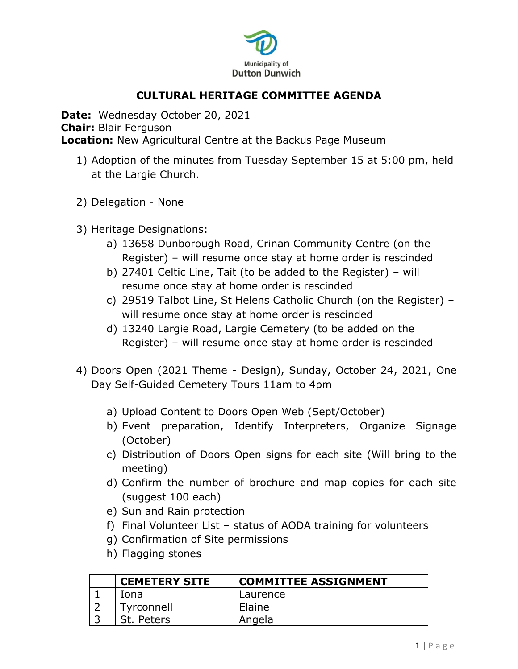

# **CULTURAL HERITAGE COMMITTEE AGENDA**

**Date:** Wednesday October 20, 2021 **Chair:** Blair Ferguson **Location:** New Agricultural Centre at the Backus Page Museum

- 1) Adoption of the minutes from Tuesday September 15 at 5:00 pm, held at the Largie Church.
- 2) Delegation None
- 3) Heritage Designations:
	- a) 13658 Dunborough Road, Crinan Community Centre (on the Register) – will resume once stay at home order is rescinded
	- b) 27401 Celtic Line, Tait (to be added to the Register) will resume once stay at home order is rescinded
	- c) 29519 Talbot Line, St Helens Catholic Church (on the Register) will resume once stay at home order is rescinded
	- d) 13240 Largie Road, Largie Cemetery (to be added on the Register) – will resume once stay at home order is rescinded
- 4) Doors Open (2021 Theme Design), Sunday, October 24, 2021, One Day Self-Guided Cemetery Tours 11am to 4pm
	- a) Upload Content to Doors Open Web (Sept/October)
	- b) Event preparation, Identify Interpreters, Organize Signage (October)
	- c) Distribution of Doors Open signs for each site (Will bring to the meeting)
	- d) Confirm the number of brochure and map copies for each site (suggest 100 each)
	- e) Sun and Rain protection
	- f) Final Volunteer List status of AODA training for volunteers
	- g) Confirmation of Site permissions
	- h) Flagging stones

| <b>CEMETERY SITE</b> | <b>COMMITTEE ASSIGNMENT</b> |
|----------------------|-----------------------------|
| Iona                 | Laurence                    |
| Tyrconnell           | Elaine                      |
| St. Peters           | Angela                      |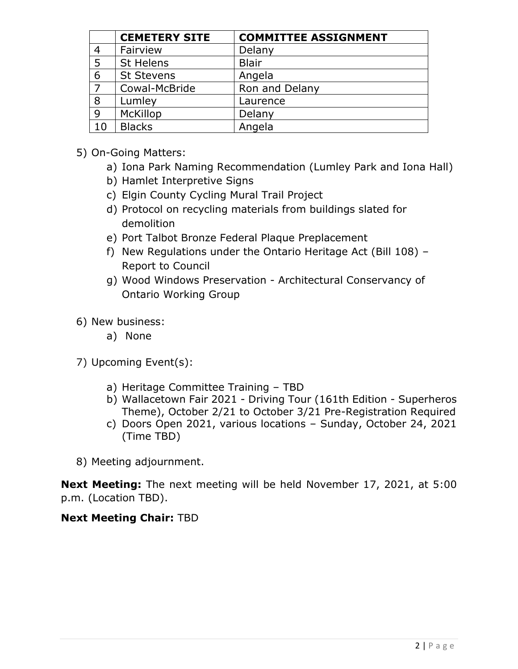|    | <b>CEMETERY SITE</b> | <b>COMMITTEE ASSIGNMENT</b> |
|----|----------------------|-----------------------------|
|    | Fairview             | Delany                      |
| 5  | St Helens            | <b>Blair</b>                |
| 6  | <b>St Stevens</b>    | Angela                      |
|    | Cowal-McBride        | Ron and Delany              |
| 8  | Lumley               | Laurence                    |
| 9  | <b>McKillop</b>      | Delany                      |
| 10 | <b>Blacks</b>        | Angela                      |

- 5) On-Going Matters:
	- a) Iona Park Naming Recommendation (Lumley Park and Iona Hall)
	- b) Hamlet Interpretive Signs
	- c) Elgin County Cycling Mural Trail Project
	- d) Protocol on recycling materials from buildings slated for demolition
	- e) Port Talbot Bronze Federal Plaque Preplacement
	- f) New Regulations under the Ontario Heritage Act (Bill 108) Report to Council
	- g) Wood Windows Preservation Architectural Conservancy of Ontario Working Group
- 6) New business:
	- a) None
- 7) Upcoming Event(s):
	- a) Heritage Committee Training TBD
	- b) Wallacetown Fair 2021 Driving Tour (161th Edition Superheros Theme), October 2/21 to October 3/21 Pre-Registration Required
	- c) Doors Open 2021, various locations Sunday, October 24, 2021 (Time TBD)
- 8) Meeting adjournment.

**Next Meeting:** The next meeting will be held November 17, 2021, at 5:00 p.m. (Location TBD).

## **Next Meeting Chair:** TBD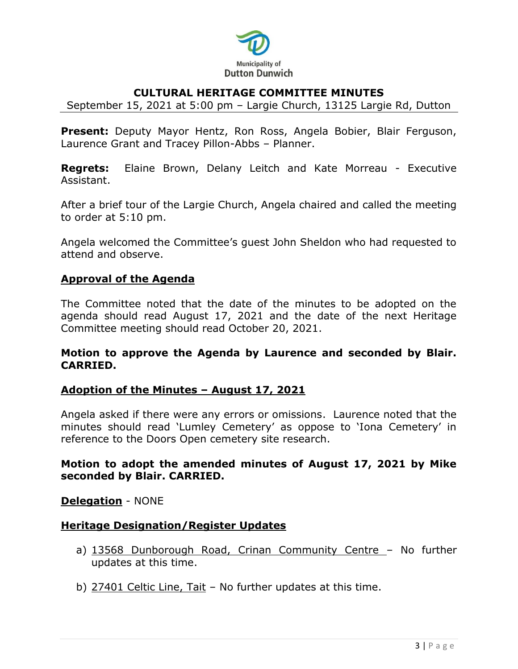

## **CULTURAL HERITAGE COMMITTEE MINUTES**

September 15, 2021 at 5:00 pm – Largie Church, 13125 Largie Rd, Dutton

**Present:** Deputy Mayor Hentz, Ron Ross, Angela Bobier, Blair Ferguson, Laurence Grant and Tracey Pillon-Abbs – Planner.

**Regrets:** Elaine Brown, Delany Leitch and Kate Morreau - Executive Assistant.

After a brief tour of the Largie Church, Angela chaired and called the meeting to order at 5:10 pm.

Angela welcomed the Committee's guest John Sheldon who had requested to attend and observe.

#### **Approval of the Agenda**

The Committee noted that the date of the minutes to be adopted on the agenda should read August 17, 2021 and the date of the next Heritage Committee meeting should read October 20, 2021.

#### **Motion to approve the Agenda by Laurence and seconded by Blair. CARRIED.**

## **Adoption of the Minutes – August 17, 2021**

Angela asked if there were any errors or omissions. Laurence noted that the minutes should read 'Lumley Cemetery' as oppose to 'Iona Cemetery' in reference to the Doors Open cemetery site research.

## **Motion to adopt the amended minutes of August 17, 2021 by Mike seconded by Blair. CARRIED.**

#### **Delegation** - NONE

#### **Heritage Designation/Register Updates**

- a) 13568 Dunborough Road, Crinan Community Centre No further updates at this time.
- b) 27401 Celtic Line, Tait No further updates at this time.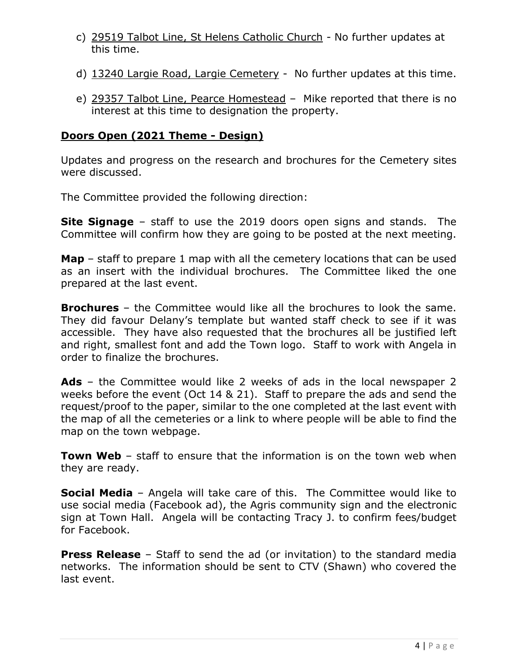- c) 29519 Talbot Line, St Helens Catholic Church No further updates at this time.
- d) 13240 Largie Road, Largie Cemetery No further updates at this time.
- e) 29357 Talbot Line, Pearce Homestead Mike reported that there is no interest at this time to designation the property.

## **Doors Open (2021 Theme - Design)**

Updates and progress on the research and brochures for the Cemetery sites were discussed.

The Committee provided the following direction:

**Site Signage** – staff to use the 2019 doors open signs and stands. The Committee will confirm how they are going to be posted at the next meeting.

**Map** – staff to prepare 1 map with all the cemetery locations that can be used as an insert with the individual brochures. The Committee liked the one prepared at the last event.

**Brochures** – the Committee would like all the brochures to look the same. They did favour Delany's template but wanted staff check to see if it was accessible. They have also requested that the brochures all be justified left and right, smallest font and add the Town logo. Staff to work with Angela in order to finalize the brochures.

**Ads** – the Committee would like 2 weeks of ads in the local newspaper 2 weeks before the event (Oct 14 & 21). Staff to prepare the ads and send the request/proof to the paper, similar to the one completed at the last event with the map of all the cemeteries or a link to where people will be able to find the map on the town webpage.

**Town Web** - staff to ensure that the information is on the town web when they are ready.

**Social Media** – Angela will take care of this. The Committee would like to use social media (Facebook ad), the Agris community sign and the electronic sign at Town Hall. Angela will be contacting Tracy J. to confirm fees/budget for Facebook.

**Press Release** – Staff to send the ad (or invitation) to the standard media networks. The information should be sent to CTV (Shawn) who covered the last event.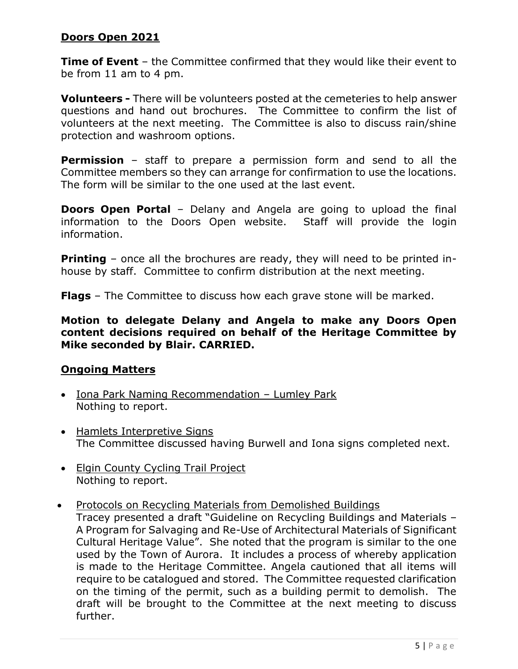## **Doors Open 2021**

**Time of Event** – the Committee confirmed that they would like their event to be from 11 am to 4 pm.

**Volunteers -** There will be volunteers posted at the cemeteries to help answer questions and hand out brochures. The Committee to confirm the list of volunteers at the next meeting. The Committee is also to discuss rain/shine protection and washroom options.

**Permission** – staff to prepare a permission form and send to all the Committee members so they can arrange for confirmation to use the locations. The form will be similar to the one used at the last event.

**Doors Open Portal** – Delany and Angela are going to upload the final information to the Doors Open website. Staff will provide the login information.

**Printing** – once all the brochures are ready, they will need to be printed inhouse by staff. Committee to confirm distribution at the next meeting.

**Flags** – The Committee to discuss how each grave stone will be marked.

**Motion to delegate Delany and Angela to make any Doors Open content decisions required on behalf of the Heritage Committee by Mike seconded by Blair. CARRIED.** 

## **Ongoing Matters**

- Iona Park Naming Recommendation Lumley Park Nothing to report.
- Hamlets Interpretive Signs The Committee discussed having Burwell and Iona signs completed next.
- Elgin County Cycling Trail Project Nothing to report.
- Protocols on Recycling Materials from Demolished Buildings

Tracey presented a draft "Guideline on Recycling Buildings and Materials – A Program for Salvaging and Re-Use of Architectural Materials of Significant Cultural Heritage Value". She noted that the program is similar to the one used by the Town of Aurora. It includes a process of whereby application is made to the Heritage Committee. Angela cautioned that all items will require to be catalogued and stored. The Committee requested clarification on the timing of the permit, such as a building permit to demolish. The draft will be brought to the Committee at the next meeting to discuss further.